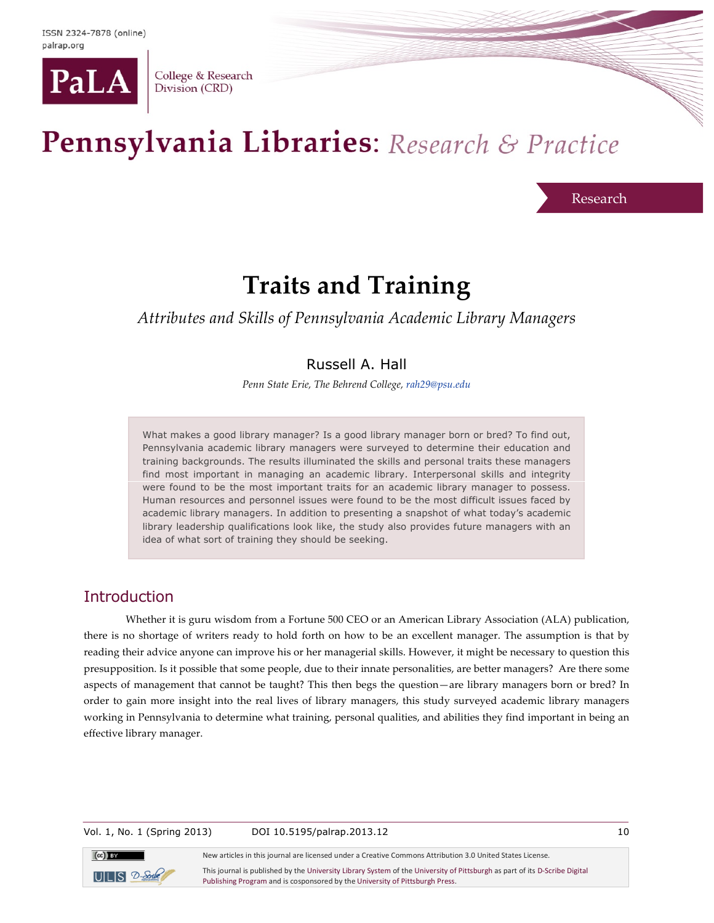

College & Research Division (CRD)

# Pennsylvania Libraries: Research & Practice

Research

# **Traits and Training**

*Attributes and Skills of Pennsylvania Academic Library Managers*

# Russell A. Hall

*Penn State Erie, The Behrend College, rah29@psu.edu*

What makes a good library manager? Is a good library manager born or bred? To find out, Pennsylvania academic library managers were surveyed to determine their education and training backgrounds. The results illuminated the skills and personal traits these managers find most important in managing an academic library. Interpersonal skills and integrity were found to be the most important traits for an academic library manager to possess. Human resources and personnel issues were found to be the most difficult issues faced by academic library managers. In addition to presenting a snapshot of what today's academic library leadership qualifications look like, the study also provides future managers with an idea of what sort of training they should be seeking.

# **Introduction**

Whether it is guru wisdom from a Fortune 500 CEO or an American Library Association (ALA) publication, there is no shortage of writers ready to hold forth on how to be an excellent manager. The assumption is that by reading their advice anyone can improve his or her managerial skills. However, it might be necessary to question this presupposition. Is it possible that some people, due to their innate personalities, are better managers? Are there some aspects of management that cannot be taught? This then begs the question—are library managers born or bred? In order to gain more insight into the real lives of library managers, this study surveyed academic library managers working in Pennsylvania to determine what training, personal qualities, and abilities they find important in being an effective library manager.

Vol. 1, No. 1 (Spring 2013) DOI 10.5195/palrap.2013.12 10



New articles in this journal are licensed under a Creative Commons Attribution 3.0 United States License.

This journal is published by the University Library System of the University of Pittsburgh as part of its D-Scribe Digital Publishing Program and is cosponsored by the University of Pittsburgh Press.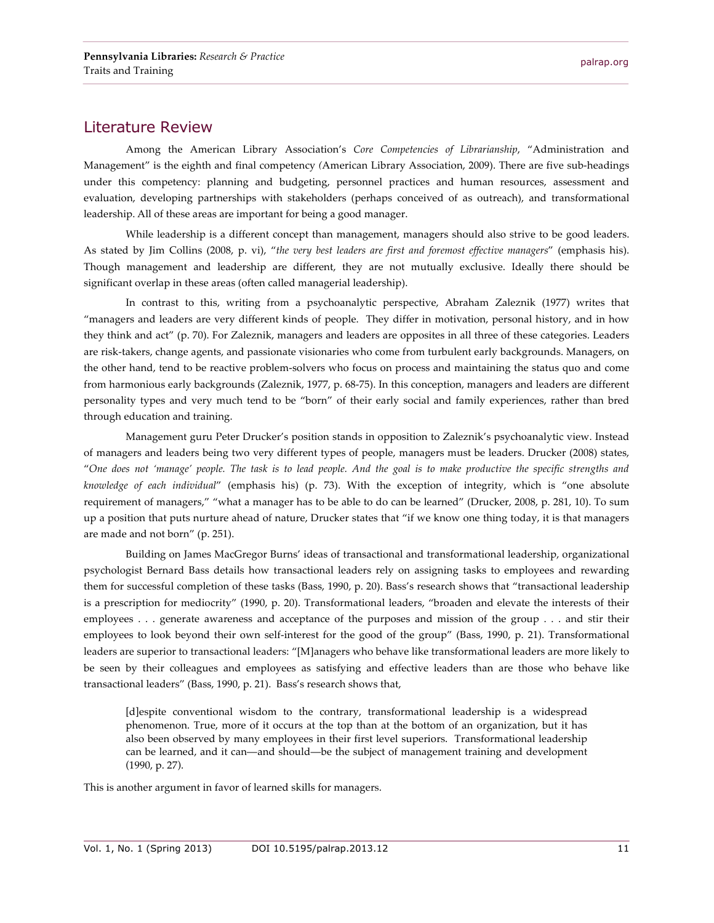#### Literature Review

Among the American Library Association's *Core Competencies of Librarianship*, "Administration and Management" is the eighth and final competency *(*American Library Association, 2009). There are five sub-headings under this competency: planning and budgeting, personnel practices and human resources, assessment and evaluation, developing partnerships with stakeholders (perhaps conceived of as outreach), and transformational leadership. All of these areas are important for being a good manager.

While leadership is a different concept than management, managers should also strive to be good leaders. As stated by Jim Collins (2008, p. vi), "*the very best leaders are first and foremost effective managers*" (emphasis his). Though management and leadership are different, they are not mutually exclusive. Ideally there should be significant overlap in these areas (often called managerial leadership).

In contrast to this, writing from a psychoanalytic perspective, Abraham Zaleznik (1977) writes that "managers and leaders are very different kinds of people. They differ in motivation, personal history, and in how they think and act" (p. 70). For Zaleznik, managers and leaders are opposites in all three of these categories. Leaders are risk-takers, change agents, and passionate visionaries who come from turbulent early backgrounds. Managers, on the other hand, tend to be reactive problem-solvers who focus on process and maintaining the status quo and come from harmonious early backgrounds (Zaleznik, 1977, p. 68-75). In this conception, managers and leaders are different personality types and very much tend to be "born" of their early social and family experiences, rather than bred through education and training.

Management guru Peter Drucker's position stands in opposition to Zaleznik's psychoanalytic view. Instead of managers and leaders being two very different types of people, managers must be leaders. Drucker (2008) states, "*One does not 'manage' people. The task is to lead people. And the goal is to make productive the specific strengths and knowledge of each individual*" (emphasis his) (p. 73). With the exception of integrity, which is "one absolute requirement of managers," "what a manager has to be able to do can be learned" (Drucker, 2008, p. 281, 10). To sum up a position that puts nurture ahead of nature, Drucker states that "if we know one thing today, it is that managers are made and not born" (p. 251).

Building on James MacGregor Burns' ideas of transactional and transformational leadership, organizational psychologist Bernard Bass details how transactional leaders rely on assigning tasks to employees and rewarding them for successful completion of these tasks (Bass, 1990, p. 20). Bass's research shows that "transactional leadership is a prescription for mediocrity" (1990, p. 20). Transformational leaders, "broaden and elevate the interests of their employees . . . generate awareness and acceptance of the purposes and mission of the group . . . and stir their employees to look beyond their own self-interest for the good of the group" (Bass, 1990, p. 21). Transformational leaders are superior to transactional leaders: "[M]anagers who behave like transformational leaders are more likely to be seen by their colleagues and employees as satisfying and effective leaders than are those who behave like transactional leaders" (Bass, 1990, p. 21). Bass's research shows that,

[d]espite conventional wisdom to the contrary, transformational leadership is a widespread phenomenon. True, more of it occurs at the top than at the bottom of an organization, but it has also been observed by many employees in their first level superiors. Transformational leadership can be learned, and it can—and should—be the subject of management training and development (1990, p. 27).

This is another argument in favor of learned skills for managers.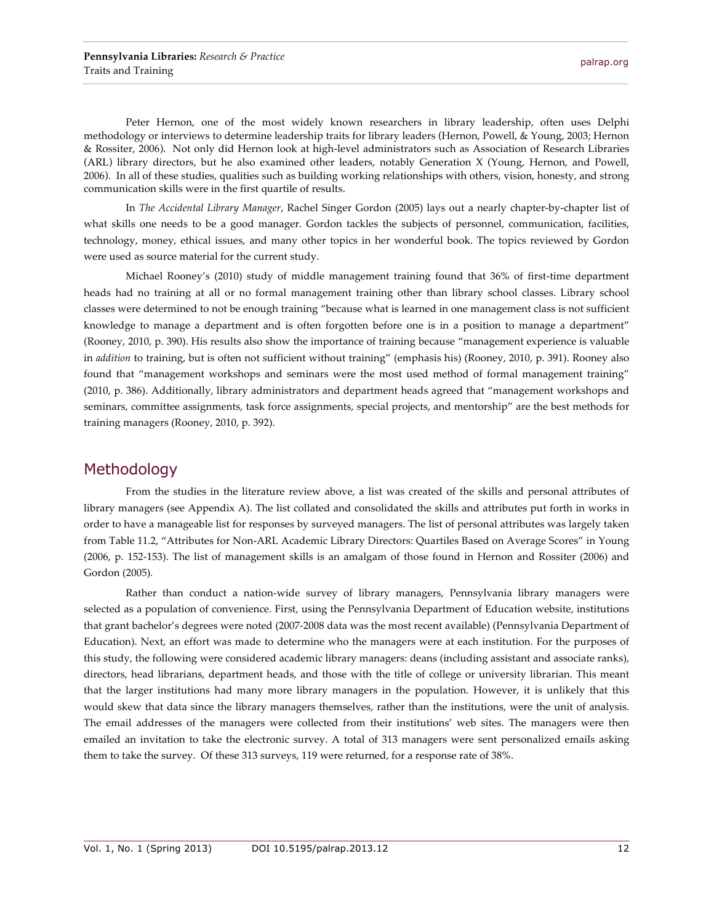Peter Hernon, one of the most widely known researchers in library leadership, often uses Delphi methodology or interviews to determine leadership traits for library leaders (Hernon, Powell, & Young, 2003; Hernon & Rossiter, 2006). Not only did Hernon look at high-level administrators such as Association of Research Libraries (ARL) library directors, but he also examined other leaders, notably Generation X (Young, Hernon, and Powell, 2006). In all of these studies, qualities such as building working relationships with others, vision, honesty, and strong communication skills were in the first quartile of results.

In *The Accidental Library Manager*, Rachel Singer Gordon (2005) lays out a nearly chapter-by-chapter list of what skills one needs to be a good manager. Gordon tackles the subjects of personnel, communication, facilities, technology, money, ethical issues, and many other topics in her wonderful book. The topics reviewed by Gordon were used as source material for the current study.

Michael Rooney's (2010) study of middle management training found that 36% of first-time department heads had no training at all or no formal management training other than library school classes. Library school classes were determined to not be enough training "because what is learned in one management class is not sufficient knowledge to manage a department and is often forgotten before one is in a position to manage a department" (Rooney, 2010, p. 390). His results also show the importance of training because "management experience is valuable in *addition* to training, but is often not sufficient without training" (emphasis his) (Rooney, 2010, p. 391). Rooney also found that "management workshops and seminars were the most used method of formal management training" (2010, p. 386). Additionally, library administrators and department heads agreed that "management workshops and seminars, committee assignments, task force assignments, special projects, and mentorship" are the best methods for training managers (Rooney, 2010, p. 392).

#### Methodology

From the studies in the literature review above, a list was created of the skills and personal attributes of library managers (see Appendix A). The list collated and consolidated the skills and attributes put forth in works in order to have a manageable list for responses by surveyed managers. The list of personal attributes was largely taken from Table 11.2, "Attributes for Non-ARL Academic Library Directors: Quartiles Based on Average Scores" in Young (2006, p. 152-153). The list of management skills is an amalgam of those found in Hernon and Rossiter (2006) and Gordon (2005)*.*

Rather than conduct a nation-wide survey of library managers, Pennsylvania library managers were selected as a population of convenience. First, using the Pennsylvania Department of Education website, institutions that grant bachelor's degrees were noted (2007-2008 data was the most recent available) (Pennsylvania Department of Education). Next, an effort was made to determine who the managers were at each institution. For the purposes of this study, the following were considered academic library managers: deans (including assistant and associate ranks), directors, head librarians, department heads, and those with the title of college or university librarian. This meant that the larger institutions had many more library managers in the population. However, it is unlikely that this would skew that data since the library managers themselves, rather than the institutions, were the unit of analysis. The email addresses of the managers were collected from their institutions' web sites. The managers were then emailed an invitation to take the electronic survey. A total of 313 managers were sent personalized emails asking them to take the survey. Of these 313 surveys, 119 were returned, for a response rate of 38%.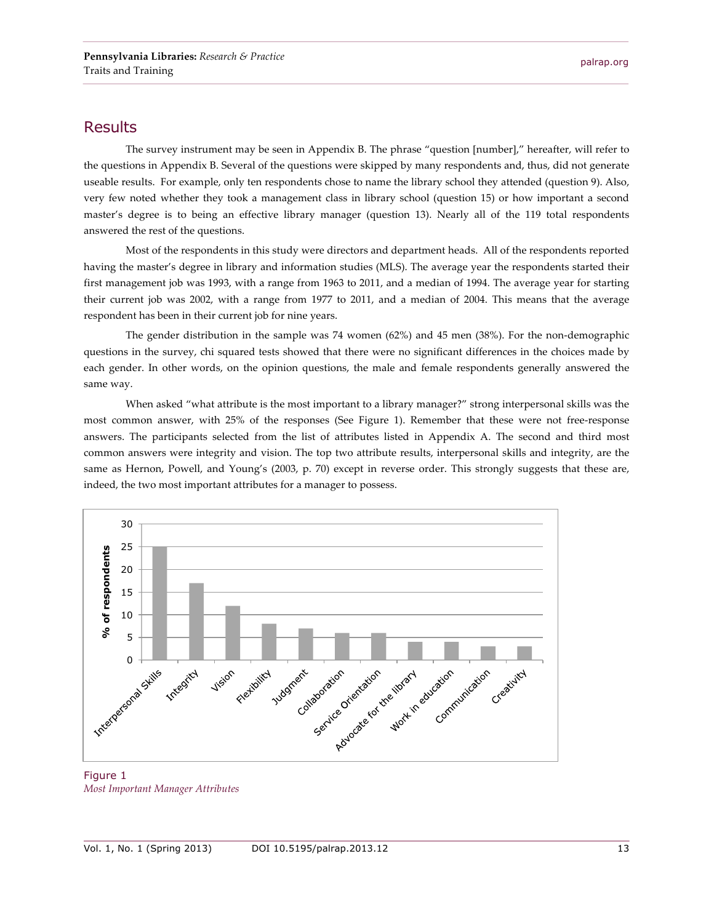#### Results

The survey instrument may be seen in Appendix B. The phrase "question [number]," hereafter, will refer to the questions in Appendix B. Several of the questions were skipped by many respondents and, thus, did not generate useable results. For example, only ten respondents chose to name the library school they attended (question 9). Also, very few noted whether they took a management class in library school (question 15) or how important a second master's degree is to being an effective library manager (question 13). Nearly all of the 119 total respondents answered the rest of the questions.

Most of the respondents in this study were directors and department heads. All of the respondents reported having the master's degree in library and information studies (MLS). The average year the respondents started their first management job was 1993, with a range from 1963 to 2011, and a median of 1994. The average year for starting their current job was 2002, with a range from 1977 to 2011, and a median of 2004. This means that the average respondent has been in their current job for nine years.

The gender distribution in the sample was 74 women (62%) and 45 men (38%). For the non-demographic questions in the survey, chi squared tests showed that there were no significant differences in the choices made by each gender. In other words, on the opinion questions, the male and female respondents generally answered the same way.

When asked "what attribute is the most important to a library manager?" strong interpersonal skills was the most common answer, with 25% of the responses (See Figure 1). Remember that these were not free-response answers. The participants selected from the list of attributes listed in Appendix A. The second and third most common answers were integrity and vision. The top two attribute results, interpersonal skills and integrity, are the same as Hernon, Powell, and Young's (2003, p. 70) except in reverse order. This strongly suggests that these are, indeed, the two most important attributes for a manager to possess.



Figure 1 *Most Important Manager Attributes*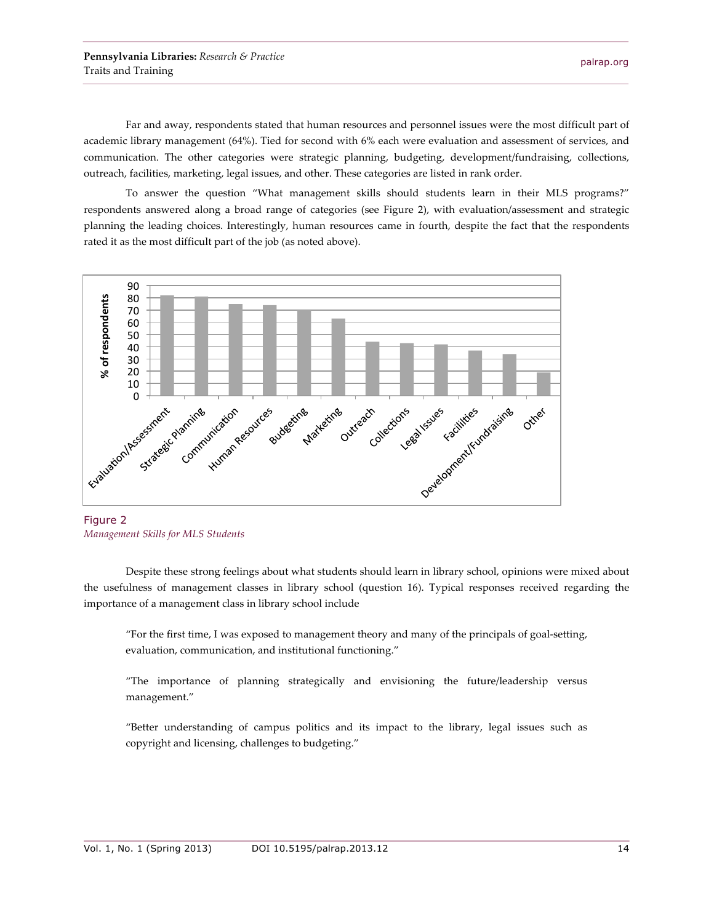Far and away, respondents stated that human resources and personnel issues were the most difficult part of academic library management (64%). Tied for second with 6% each were evaluation and assessment of services, and communication. The other categories were strategic planning, budgeting, development/fundraising, collections, outreach, facilities, marketing, legal issues, and other. These categories are listed in rank order.

To answer the question "What management skills should students learn in their MLS programs?" respondents answered along a broad range of categories (see Figure 2), with evaluation/assessment and strategic planning the leading choices. Interestingly, human resources came in fourth, despite the fact that the respondents rated it as the most difficult part of the job (as noted above).



Figure 2 *Management Skills for MLS Students*

Despite these strong feelings about what students should learn in library school, opinions were mixed about the usefulness of management classes in library school (question 16). Typical responses received regarding the importance of a management class in library school include

"For the first time, I was exposed to management theory and many of the principals of goal-setting, evaluation, communication, and institutional functioning."

"The importance of planning strategically and envisioning the future/leadership versus management."

"Better understanding of campus politics and its impact to the library, legal issues such as copyright and licensing, challenges to budgeting."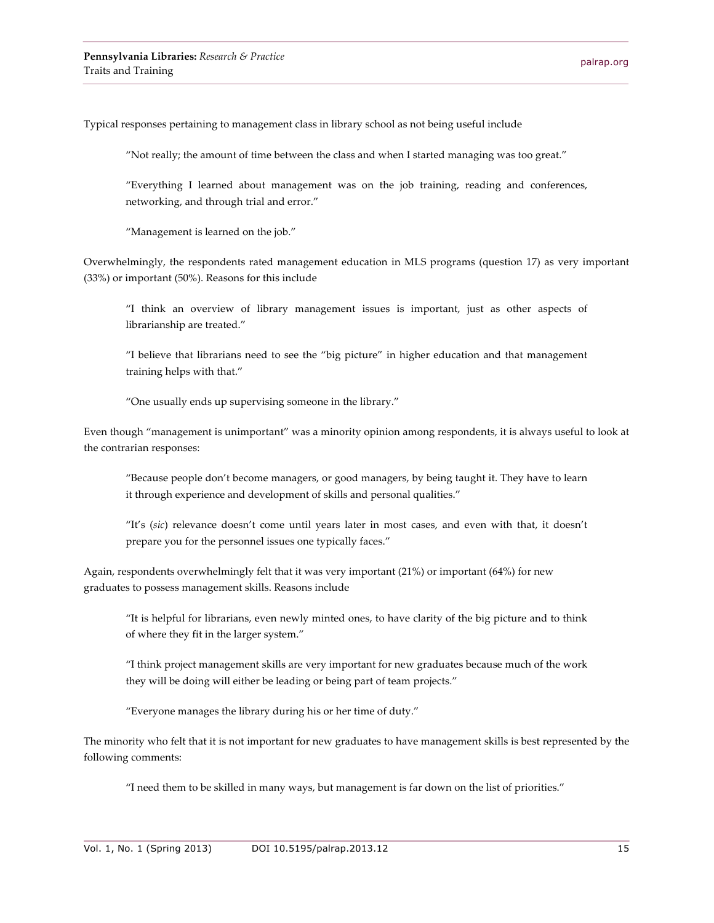Typical responses pertaining to management class in library school as not being useful include

"Not really; the amount of time between the class and when I started managing was too great."

"Everything I learned about management was on the job training, reading and conferences, networking, and through trial and error."

"Management is learned on the job."

Overwhelmingly, the respondents rated management education in MLS programs (question 17) as very important (33%) or important (50%). Reasons for this include

"I think an overview of library management issues is important, just as other aspects of librarianship are treated."

"I believe that librarians need to see the "big picture" in higher education and that management training helps with that."

"One usually ends up supervising someone in the library."

Even though "management is unimportant" was a minority opinion among respondents, it is always useful to look at the contrarian responses:

"Because people don't become managers, or good managers, by being taught it. They have to learn it through experience and development of skills and personal qualities."

"It's (*sic*) relevance doesn't come until years later in most cases, and even with that, it doesn't prepare you for the personnel issues one typically faces."

Again, respondents overwhelmingly felt that it was very important (21%) or important (64%) for new graduates to possess management skills. Reasons include

"It is helpful for librarians, even newly minted ones, to have clarity of the big picture and to think of where they fit in the larger system."

"I think project management skills are very important for new graduates because much of the work they will be doing will either be leading or being part of team projects."

"Everyone manages the library during his or her time of duty."

The minority who felt that it is not important for new graduates to have management skills is best represented by the following comments:

"I need them to be skilled in many ways, but management is far down on the list of priorities."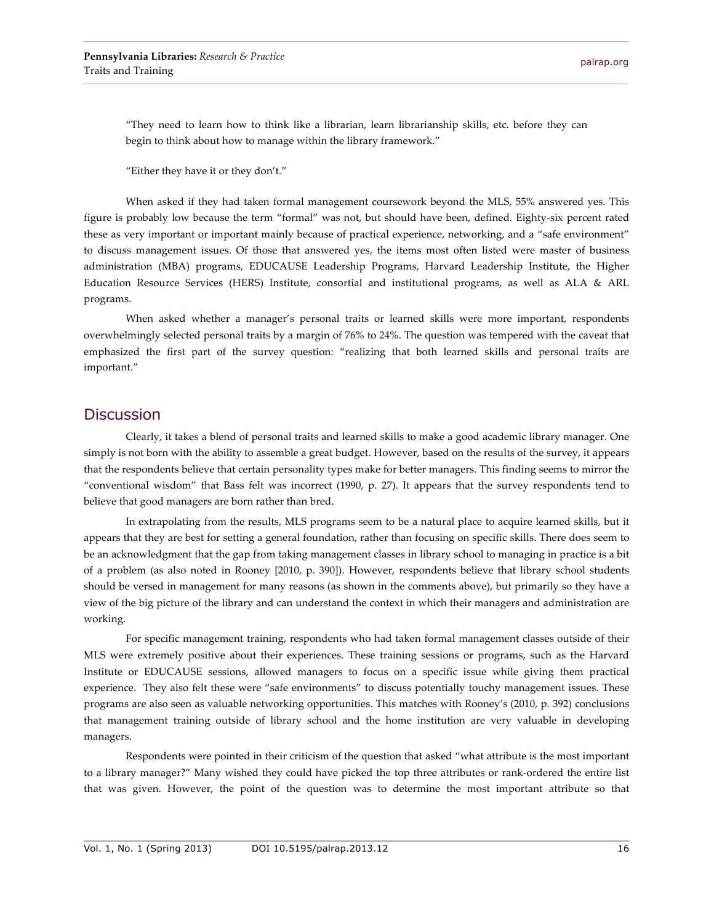"They need to learn how to think like a librarian, learn librarianship skills, etc. before they can begin to think about how to manage within the library framework."

"Either they have it or they don't."

When asked if they had taken formal management coursework beyond the MLS, 55% answered yes. This figure is probably low because the term "formal" was not, but should have been, defined. Eighty-six percent rated these as very important or important mainly because of practical experience, networking, and a "safe environment" to discuss management issues. Of those that answered yes, the items most often listed were master of business administration (MBA) programs, EDUCAUSE Leadership Programs, Harvard Leadership Institute, the Higher Education Resource Services (HERS) Institute, consortial and institutional programs, as well as ALA & ARL programs.

When asked whether a manager's personal traits or learned skills were more important, respondents overwhelmingly selected personal traits by a margin of 76% to 24%. The question was tempered with the caveat that emphasized the first part of the survey question: "realizing that both learned skills and personal traits are important."

#### **Discussion**

Clearly, it takes a blend of personal traits and learned skills to make a good academic library manager. One simply is not born with the ability to assemble a great budget. However, based on the results of the survey, it appears that the respondents believe that certain personality types make for better managers. This finding seems to mirror the "conventional wisdom" that Bass felt was incorrect (1990, p. 27). It appears that the survey respondents tend to believe that good managers are born rather than bred.

In extrapolating from the results, MLS programs seem to be a natural place to acquire learned skills, but it appears that they are best for setting a general foundation, rather than focusing on specific skills. There does seem to be an acknowledgment that the gap from taking management classes in library school to managing in practice is a bit of a problem (as also noted in Rooney [2010, p. 390]). However, respondents believe that library school students should be versed in management for many reasons (as shown in the comments above), but primarily so they have a view of the big picture of the library and can understand the context in which their managers and administration are working.

For specific management training, respondents who had taken formal management classes outside of their MLS were extremely positive about their experiences. These training sessions or programs, such as the Harvard Institute or EDUCAUSE sessions, allowed managers to focus on a specific issue while giving them practical experience. They also felt these were "safe environments" to discuss potentially touchy management issues. These programs are also seen as valuable networking opportunities. This matches with Rooney's (2010, p. 392) conclusions that management training outside of library school and the home institution are very valuable in developing managers.

Respondents were pointed in their criticism of the question that asked "what attribute is the most important to a library manager?" Many wished they could have picked the top three attributes or rank-ordered the entire list that was given. However, the point of the question was to determine the most important attribute so that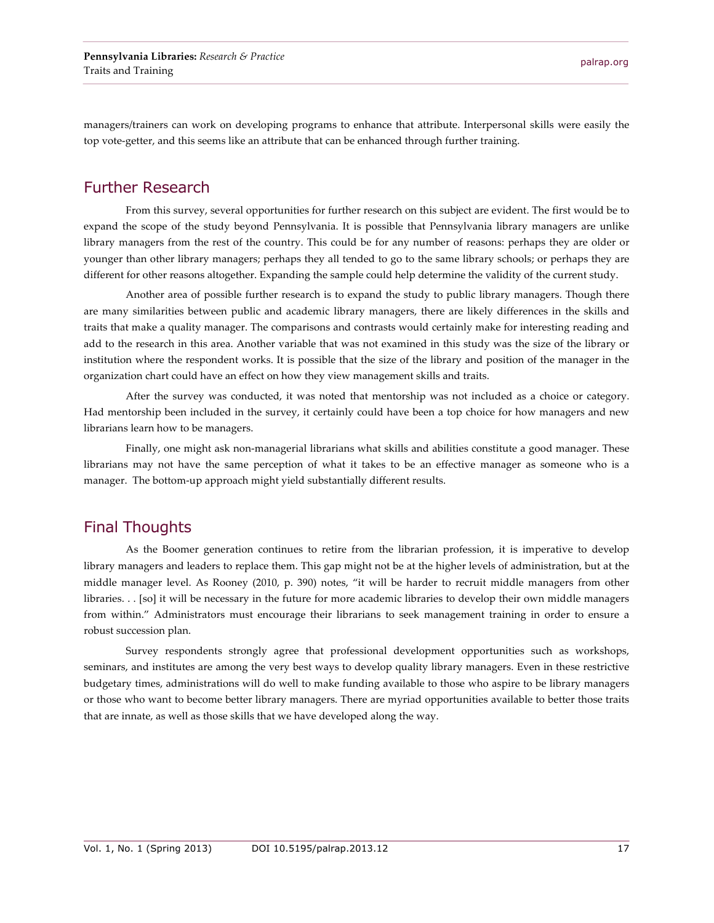managers/trainers can work on developing programs to enhance that attribute. Interpersonal skills were easily the top vote-getter, and this seems like an attribute that can be enhanced through further training.

## Further Research

From this survey, several opportunities for further research on this subject are evident. The first would be to expand the scope of the study beyond Pennsylvania. It is possible that Pennsylvania library managers are unlike library managers from the rest of the country. This could be for any number of reasons: perhaps they are older or younger than other library managers; perhaps they all tended to go to the same library schools; or perhaps they are different for other reasons altogether. Expanding the sample could help determine the validity of the current study.

Another area of possible further research is to expand the study to public library managers. Though there are many similarities between public and academic library managers, there are likely differences in the skills and traits that make a quality manager. The comparisons and contrasts would certainly make for interesting reading and add to the research in this area. Another variable that was not examined in this study was the size of the library or institution where the respondent works. It is possible that the size of the library and position of the manager in the organization chart could have an effect on how they view management skills and traits.

After the survey was conducted, it was noted that mentorship was not included as a choice or category. Had mentorship been included in the survey, it certainly could have been a top choice for how managers and new librarians learn how to be managers.

Finally, one might ask non-managerial librarians what skills and abilities constitute a good manager. These librarians may not have the same perception of what it takes to be an effective manager as someone who is a manager. The bottom-up approach might yield substantially different results.

# Final Thoughts

As the Boomer generation continues to retire from the librarian profession, it is imperative to develop library managers and leaders to replace them. This gap might not be at the higher levels of administration, but at the middle manager level. As Rooney (2010, p. 390) notes, "it will be harder to recruit middle managers from other libraries. . . [so] it will be necessary in the future for more academic libraries to develop their own middle managers from within." Administrators must encourage their librarians to seek management training in order to ensure a robust succession plan.

Survey respondents strongly agree that professional development opportunities such as workshops, seminars, and institutes are among the very best ways to develop quality library managers. Even in these restrictive budgetary times, administrations will do well to make funding available to those who aspire to be library managers or those who want to become better library managers. There are myriad opportunities available to better those traits that are innate, as well as those skills that we have developed along the way.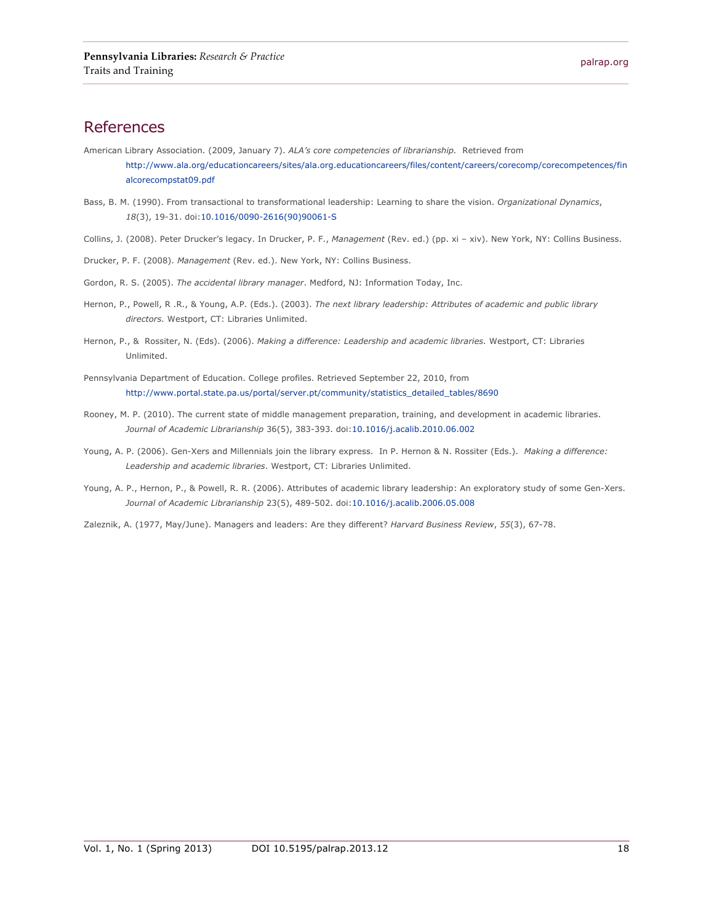### References

- American Library Association. (2009, January 7). *ALA's core competencies of librarianship.* Retrieved from http://www.ala.org/educationcareers/sites/ala.org.educationcareers/files/content/careers/corecomp/corecompetences/fin alcorecompstat09.pdf
- Bass, B. M. (1990). From transactional to transformational leadership: Learning to share the vision. *Organizational Dynamics*, *18*(3), 19-31. doi:10.1016/0090-2616(90)90061-S
- Collins, J. (2008). Peter Drucker's legacy. In Drucker, P. F., *Management* (Rev. ed.) (pp. xi xiv). New York, NY: Collins Business.
- Drucker, P. F. (2008). *Management* (Rev. ed.). New York, NY: Collins Business.
- Gordon, R. S. (2005). *The accidental library manager*. Medford, NJ: Information Today, Inc.
- Hernon, P., Powell, R .R., & Young, A.P. (Eds.). (2003). *The next library leadership: Attributes of academic and public library directors.* Westport, CT: Libraries Unlimited.
- Hernon, P., & Rossiter, N. (Eds). (2006). *Making a difference: Leadership and academic libraries.* Westport, CT: Libraries Unlimited.
- Pennsylvania Department of Education. College profiles. Retrieved September 22, 2010, from http://www.portal.state.pa.us/portal/server.pt/community/statistics\_detailed\_tables/8690
- Rooney, M. P. (2010). The current state of middle management preparation, training, and development in academic libraries. *Journal of Academic Librarianship* 36(5), 383-393. doi:10.1016/j.acalib.2010.06.002
- Young, A. P. (2006). Gen-Xers and Millennials join the library express. In P. Hernon & N. Rossiter (Eds.). *Making a difference: Leadership and academic libraries*. Westport, CT: Libraries Unlimited.
- Young, A. P., Hernon, P., & Powell, R. R. (2006). Attributes of academic library leadership: An exploratory study of some Gen-Xers. *Journal of Academic Librarianship* 23(5), 489-502. doi:10.1016/j.acalib.2006.05.008
- Zaleznik, A. (1977, May/June). Managers and leaders: Are they different? *Harvard Business Review*, *55*(3), 67-78.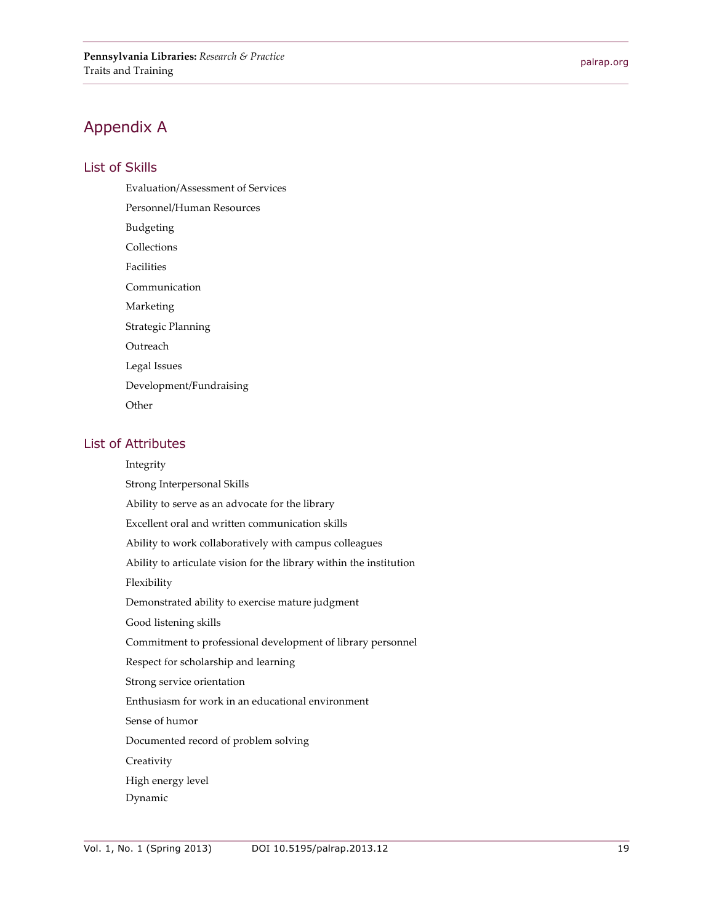# Appendix A

#### List of Skills

Evaluation/Assessment of Services Personnel/Human Resources Budgeting Collections Facilities Communication Marketing Strategic Planning Outreach Legal Issues Development/Fundraising **Other** 

#### List of Attributes

Integrity Strong Interpersonal Skills Ability to serve as an advocate for the library Excellent oral and written communication skills Ability to work collaboratively with campus colleagues Ability to articulate vision for the library within the institution Flexibility Demonstrated ability to exercise mature judgment Good listening skills Commitment to professional development of library personnel Respect for scholarship and learning Strong service orientation Enthusiasm for work in an educational environment Sense of humor Documented record of problem solving **Creativity** High energy level Dynamic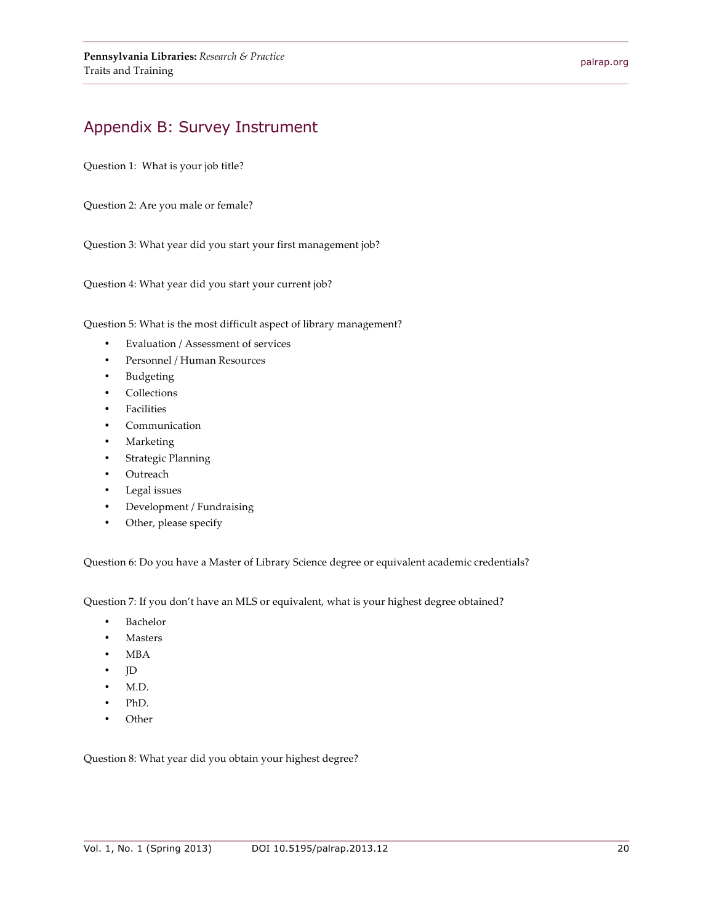# Appendix B: Survey Instrument

Question 1: What is your job title?

Question 2: Are you male or female?

Question 3: What year did you start your first management job?

Question 4: What year did you start your current job?

Question 5: What is the most difficult aspect of library management?

- Evaluation / Assessment of services
- Personnel / Human Resources
- Budgeting
- Collections
- Facilities
- Communication
- Marketing
- Strategic Planning
- **Outreach**
- Legal issues
- Development / Fundraising
- Other, please specify

Question 6: Do you have a Master of Library Science degree or equivalent academic credentials?

Question 7: If you don't have an MLS or equivalent, what is your highest degree obtained?

- Bachelor
- **Masters**
- MBA
- JD
- M.D.
- PhD.
- Other

Question 8: What year did you obtain your highest degree?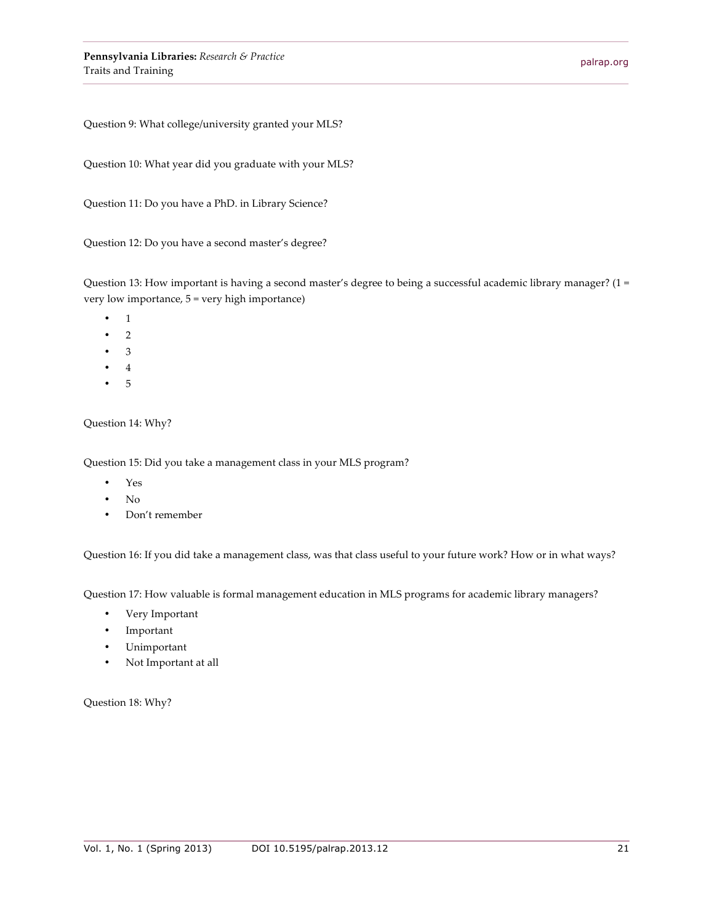Question 9: What college/university granted your MLS?

Question 10: What year did you graduate with your MLS?

Question 11: Do you have a PhD. in Library Science?

Question 12: Do you have a second master's degree?

Question 13: How important is having a second master's degree to being a successful academic library manager? (1 = very low importance, 5 = very high importance)

- 1
- 2
- 3
- 4
- 5

Question 14: Why?

Question 15: Did you take a management class in your MLS program?

- Yes
- No
- Don't remember

Question 16: If you did take a management class, was that class useful to your future work? How or in what ways?

Question 17: How valuable is formal management education in MLS programs for academic library managers?

- Very Important
- Important
- Unimportant
- Not Important at all

Question 18: Why?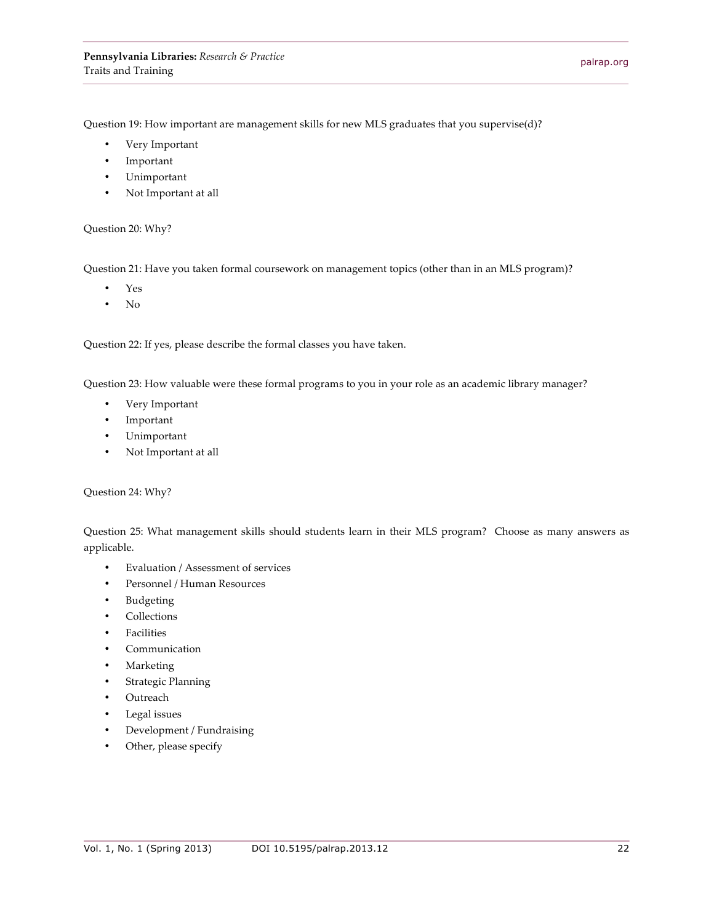Question 19: How important are management skills for new MLS graduates that you supervise(d)?

- Very Important
- **Important**
- Unimportant
- Not Important at all

#### Question 20: Why?

Question 21: Have you taken formal coursework on management topics (other than in an MLS program)?

- Yes
- No

Question 22: If yes, please describe the formal classes you have taken.

Question 23: How valuable were these formal programs to you in your role as an academic library manager?

- Very Important
- Important
- Unimportant
- Not Important at all

Question 24: Why?

Question 25: What management skills should students learn in their MLS program? Choose as many answers as applicable.

- Evaluation / Assessment of services
- Personnel / Human Resources
- Budgeting
- **Collections**
- Facilities
- Communication
- **Marketing**
- Strategic Planning
- Outreach
- Legal issues
- Development / Fundraising
- Other, please specify